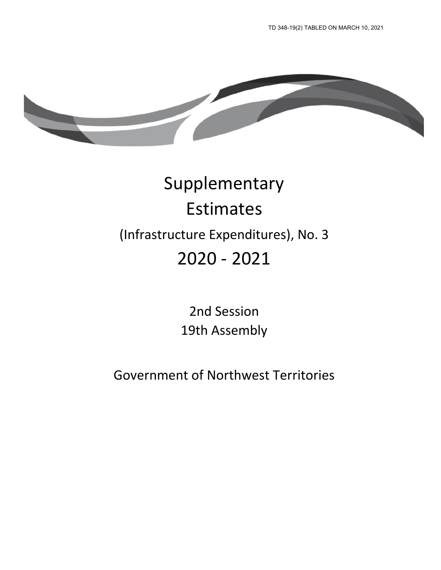

# Supplementary Estimates (Infrastructure Expenditures), No. 3 2020 - 2021

2nd Session 19th Assembly

Government of Northwest Territories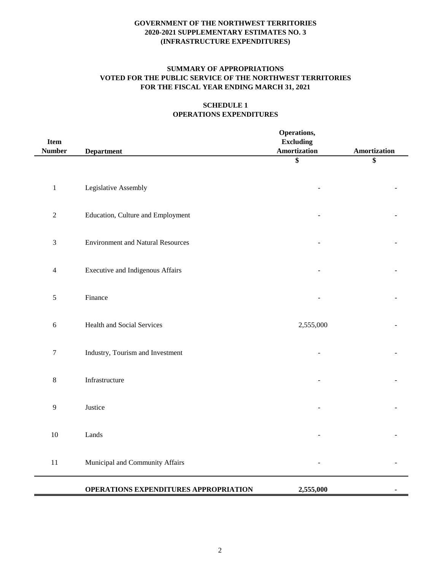## **SUMMARY OF APPROPRIATIONS VOTED FOR THE PUBLIC SERVICE OF THE NORTHWEST TERRITORIES FOR THE FISCAL YEAR ENDING MARCH 31, 2021**

## **SCHEDULE 1 OPERATIONS EXPENDITURES**

| <b>Item</b><br><b>Number</b> | <b>Department</b>                        | Operations,<br><b>Excluding</b><br><b>Amortization</b> | Amortization |
|------------------------------|------------------------------------------|--------------------------------------------------------|--------------|
|                              |                                          | \$                                                     | \$           |
| $\,1$                        | Legislative Assembly                     |                                                        |              |
| $\sqrt{2}$                   | Education, Culture and Employment        |                                                        |              |
| $\mathfrak{Z}$               | <b>Environment and Natural Resources</b> |                                                        |              |
| $\overline{4}$               | <b>Executive and Indigenous Affairs</b>  |                                                        |              |
| 5                            | Finance                                  |                                                        |              |
| $\sqrt{6}$                   | <b>Health and Social Services</b>        | 2,555,000                                              |              |
| $\boldsymbol{7}$             | Industry, Tourism and Investment         |                                                        |              |
| $\,8\,$                      | Infrastructure                           |                                                        |              |
| 9                            | Justice                                  |                                                        |              |
| $10\,$                       | Lands                                    |                                                        |              |
| 11                           | Municipal and Community Affairs          |                                                        |              |
|                              | OPERATIONS EXPENDITURES APPROPRIATION    | 2,555,000                                              |              |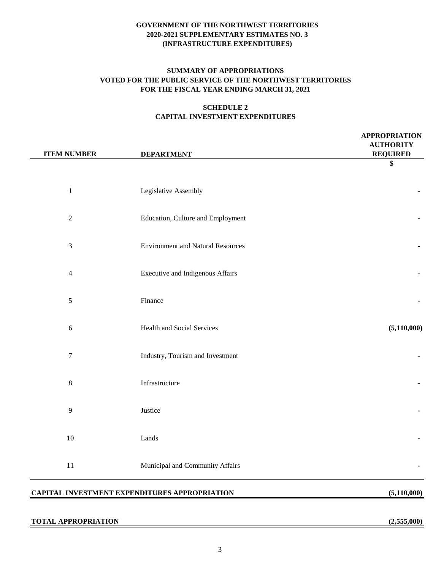## **SUMMARY OF APPROPRIATIONS VOTED FOR THE PUBLIC SERVICE OF THE NORTHWEST TERRITORIES FOR THE FISCAL YEAR ENDING MARCH 31, 2021**

## **SCHEDULE 2 CAPITAL INVESTMENT EXPENDITURES**

| <b>ITEM NUMBER</b> | <b>DEPARTMENT</b>                        | <b>APPROPRIATION</b><br><b>AUTHORITY</b><br><b>REQUIRED</b> |
|--------------------|------------------------------------------|-------------------------------------------------------------|
|                    |                                          | \$                                                          |
| $\mathbf 1$        | Legislative Assembly                     |                                                             |
| $\sqrt{2}$         | Education, Culture and Employment        |                                                             |
| $\mathfrak{Z}$     | <b>Environment and Natural Resources</b> |                                                             |
| $\overline{4}$     | <b>Executive and Indigenous Affairs</b>  |                                                             |
| $\sqrt{5}$         | Finance                                  |                                                             |
| $\sqrt{6}$         | Health and Social Services               | (5,110,000)                                                 |
| $\boldsymbol{7}$   | Industry, Tourism and Investment         |                                                             |
| 8                  | Infrastructure                           |                                                             |
| 9                  | Justice                                  |                                                             |
| 10                 | Lands                                    |                                                             |
| $11\,$             | Municipal and Community Affairs          |                                                             |
|                    |                                          |                                                             |

## **CAPITAL INVESTMENT EXPENDITURES APPROPRIATION (5,110,000)**

#### **TOTAL APPROPRIATION (2,555,000)**

 $\overline{a}$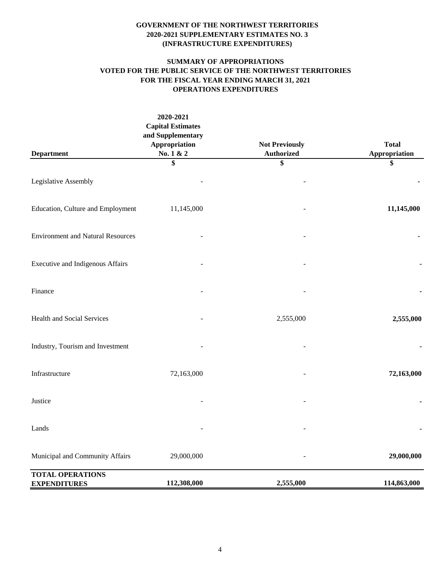## **SUMMARY OF APPROPRIATIONS VOTED FOR THE PUBLIC SERVICE OF THE NORTHWEST TERRITORIES FOR THE FISCAL YEAR ENDING MARCH 31, 2021 OPERATIONS EXPENDITURES**

|                                                | 2020-2021<br><b>Capital Estimates</b><br>and Supplementary<br><b>Appropriation</b><br>No. 1 & 2 | <b>Not Previously</b><br><b>Authorized</b> | <b>Total</b>        |
|------------------------------------------------|-------------------------------------------------------------------------------------------------|--------------------------------------------|---------------------|
| <b>Department</b>                              | \$                                                                                              | \$                                         | Appropriation<br>\$ |
| Legislative Assembly                           |                                                                                                 |                                            |                     |
| Education, Culture and Employment              | 11,145,000                                                                                      |                                            | 11,145,000          |
| <b>Environment and Natural Resources</b>       |                                                                                                 |                                            |                     |
| Executive and Indigenous Affairs               |                                                                                                 |                                            |                     |
| Finance                                        |                                                                                                 |                                            |                     |
| Health and Social Services                     |                                                                                                 | 2,555,000                                  | 2,555,000           |
| Industry, Tourism and Investment               |                                                                                                 |                                            |                     |
| Infrastructure                                 | 72,163,000                                                                                      |                                            | 72,163,000          |
| Justice                                        |                                                                                                 |                                            |                     |
| Lands                                          |                                                                                                 |                                            |                     |
| Municipal and Community Affairs                | 29,000,000                                                                                      |                                            | 29,000,000          |
| <b>TOTAL OPERATIONS</b><br><b>EXPENDITURES</b> | 112,308,000                                                                                     | 2,555,000                                  | 114,863,000         |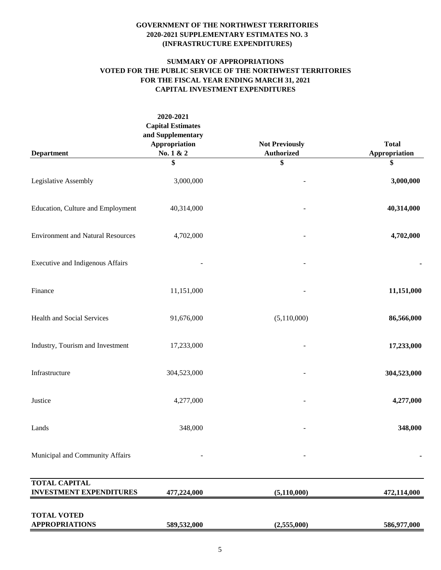## **SUMMARY OF APPROPRIATIONS VOTED FOR THE PUBLIC SERVICE OF THE NORTHWEST TERRITORIES FOR THE FISCAL YEAR ENDING MARCH 31, 2021 CAPITAL INVESTMENT EXPENDITURES**

|                                                        | 2020-2021<br><b>Capital Estimates</b><br>and Supplementary |                                            |                     |
|--------------------------------------------------------|------------------------------------------------------------|--------------------------------------------|---------------------|
|                                                        | Appropriation<br>No. 1 & 2                                 | <b>Not Previously</b><br><b>Authorized</b> | <b>Total</b>        |
| <b>Department</b>                                      | \$                                                         | \$                                         | Appropriation<br>\$ |
| Legislative Assembly                                   | 3,000,000                                                  |                                            | 3,000,000           |
| Education, Culture and Employment                      | 40,314,000                                                 |                                            | 40,314,000          |
| <b>Environment and Natural Resources</b>               | 4,702,000                                                  |                                            | 4,702,000           |
| Executive and Indigenous Affairs                       |                                                            |                                            |                     |
| Finance                                                | 11,151,000                                                 |                                            | 11,151,000          |
| <b>Health and Social Services</b>                      | 91,676,000                                                 | (5,110,000)                                | 86,566,000          |
| Industry, Tourism and Investment                       | 17,233,000                                                 |                                            | 17,233,000          |
| Infrastructure                                         | 304,523,000                                                |                                            | 304,523,000         |
| Justice                                                | 4,277,000                                                  |                                            | 4,277,000           |
| Lands                                                  | 348,000                                                    |                                            | 348,000             |
| Municipal and Community Affairs                        |                                                            |                                            |                     |
| <b>TOTAL CAPITAL</b><br><b>INVESTMENT EXPENDITURES</b> | 477,224,000                                                | (5, 110, 000)                              | 472,114,000         |
| <b>TOTAL VOTED</b><br><b>APPROPRIATIONS</b>            | 589,532,000                                                | (2,555,000)                                | 586,977,000         |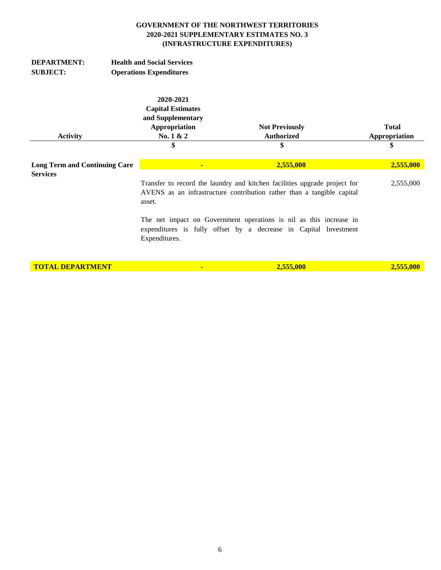| <b>DEPARTMENT:</b><br><b>SUBJECT:</b>                   | <b>Health and Social Services</b><br><b>Operations Expenditures</b>                      |                                                                                                                                                     |                               |  |
|---------------------------------------------------------|------------------------------------------------------------------------------------------|-----------------------------------------------------------------------------------------------------------------------------------------------------|-------------------------------|--|
| <b>Activity</b>                                         | 2020-2021<br><b>Capital Estimates</b><br>and Supplementary<br>Appropriation<br>No. 1 & 2 | <b>Not Previously</b><br><b>Authorized</b>                                                                                                          | <b>Total</b><br>Appropriation |  |
|                                                         | \$                                                                                       | \$                                                                                                                                                  | \$                            |  |
| <b>Long Term and Continuing Care</b><br><b>Services</b> | ٠                                                                                        | 2,555,000                                                                                                                                           | 2,555,000                     |  |
|                                                         | asset.                                                                                   | Transfer to record the laundry and kitchen facilities upgrade project for<br>AVENS as an infrastructure contribution rather than a tangible capital |                               |  |
|                                                         | Expenditures.                                                                            | The net impact on Government operations is nil as this increase in<br>expenditures is fully offset by a decrease in Capital Investment              |                               |  |
| <b>TOTAL DEPARTMENT</b>                                 | $\blacksquare$                                                                           | 2,555,000                                                                                                                                           | 2,555,000                     |  |